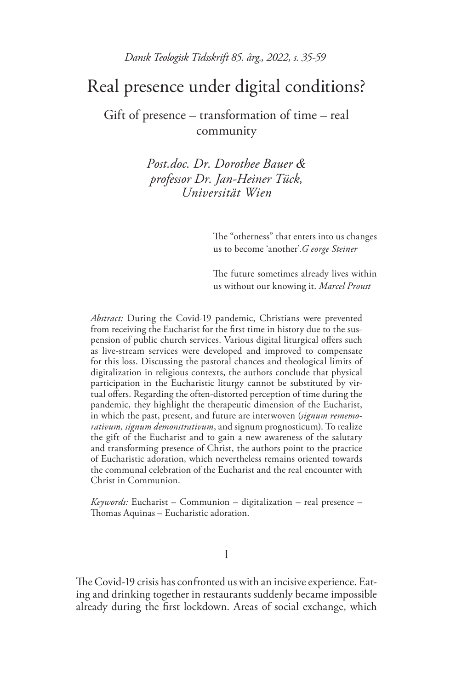# Real presence under digital conditions?

Gift of presence – transformation of time – real community

> *Post.doc. Dr. Dorothee Bauer & professor Dr. Jan-Heiner Tück, Universität Wien*

> > The "otherness" that enters into us changes us to become 'another'.*G eorge Steiner*

> > The future sometimes already lives within us without our knowing it. *Marcel Proust*

*Abstract:* During the Covid-19 pandemic, Christians were prevented from receiving the Eucharist for the first time in history due to the suspension of public church services. Various digital liturgical offers such as live-stream services were developed and improved to compensate for this loss. Discussing the pastoral chances and theological limits of digitalization in religious contexts, the authors conclude that physical participation in the Eucharistic liturgy cannot be substituted by virtual offers. Regarding the often-distorted perception of time during the pandemic, they highlight the therapeutic dimension of the Eucharist, in which the past, present, and future are interwoven (*signum rememorativum, signum demonstrativum*, and signum prognosticum). To realize the gift of the Eucharist and to gain a new awareness of the salutary and transforming presence of Christ, the authors point to the practice of Eucharistic adoration, which nevertheless remains oriented towards the communal celebration of the Eucharist and the real encounter with Christ in Communion.

*Keywords:* Eucharist – Communion – digitalization – real presence – Thomas Aquinas – Eucharistic adoration.

I

The Covid-19 crisis has confronted us with an incisive experience. Eating and drinking together in restaurants suddenly became impossible already during the first lockdown. Areas of social exchange, which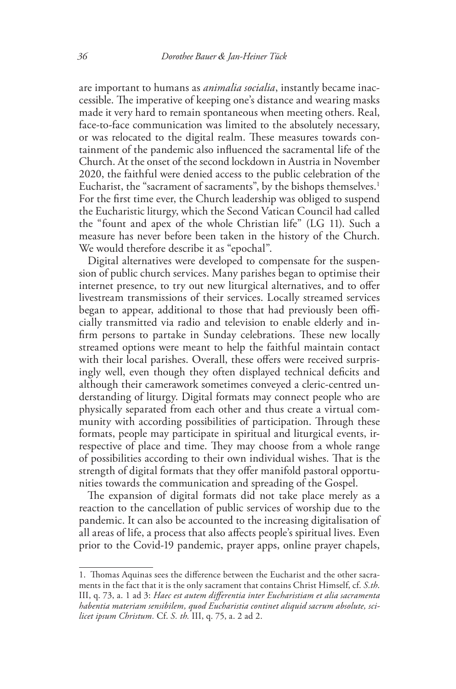are important to humans as *animalia socialia*, instantly became inaccessible. The imperative of keeping one's distance and wearing masks made it very hard to remain spontaneous when meeting others. Real, face-to-face communication was limited to the absolutely necessary, or was relocated to the digital realm. These measures towards containment of the pandemic also influenced the sacramental life of the Church. At the onset of the second lockdown in Austria in November 2020, the faithful were denied access to the public celebration of the Eucharist, the "sacrament of sacraments", by the bishops themselves.<sup>1</sup> For the first time ever, the Church leadership was obliged to suspend the Eucharistic liturgy, which the Second Vatican Council had called the "fount and apex of the whole Christian life" (LG 11). Such a measure has never before been taken in the history of the Church. We would therefore describe it as "epochal".

Digital alternatives were developed to compensate for the suspension of public church services. Many parishes began to optimise their internet presence, to try out new liturgical alternatives, and to offer livestream transmissions of their services. Locally streamed services began to appear, additional to those that had previously been officially transmitted via radio and television to enable elderly and infirm persons to partake in Sunday celebrations. These new locally streamed options were meant to help the faithful maintain contact with their local parishes. Overall, these offers were received surprisingly well, even though they often displayed technical deficits and although their camerawork sometimes conveyed a cleric-centred understanding of liturgy. Digital formats may connect people who are physically separated from each other and thus create a virtual community with according possibilities of participation. Through these formats, people may participate in spiritual and liturgical events, irrespective of place and time. They may choose from a whole range of possibilities according to their own individual wishes. That is the strength of digital formats that they offer manifold pastoral opportunities towards the communication and spreading of the Gospel.

The expansion of digital formats did not take place merely as a reaction to the cancellation of public services of worship due to the pandemic. It can also be accounted to the increasing digitalisation of all areas of life, a process that also affects people's spiritual lives. Even prior to the Covid-19 pandemic, prayer apps, online prayer chapels,

<sup>1.</sup> Thomas Aquinas sees the difference between the Eucharist and the other sacraments in the fact that it is the only sacrament that contains Christ Himself, cf. *S.th*. III, q. 73, a. 1 ad 3: *Haec est autem differentia inter Eucharistiam et alia sacramenta habentia materiam sensibilem, quod Eucharistia continet aliquid sacrum absolute, scilicet ipsum Christum.* Cf. *S. th.* III, q. 75, a. 2 ad 2.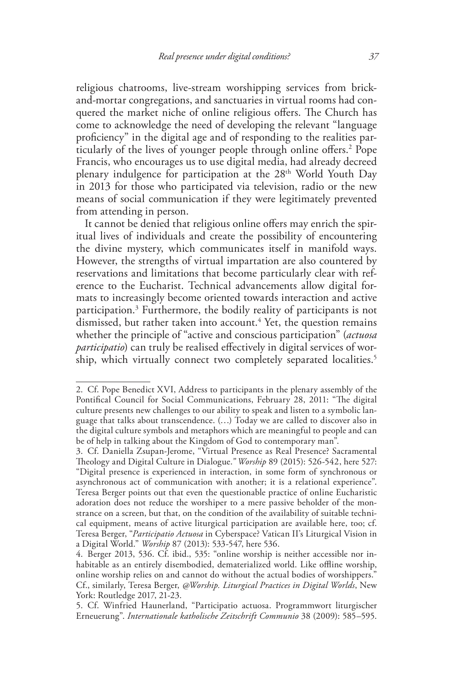religious chatrooms, live-stream worshipping services from brickand-mortar congregations, and sanctuaries in virtual rooms had conquered the market niche of online religious offers. The Church has come to acknowledge the need of developing the relevant "language proficiency" in the digital age and of responding to the realities particularly of the lives of younger people through online offers.2 Pope Francis, who encourages us to use digital media, had already decreed plenary indulgence for participation at the 28th World Youth Day in 2013 for those who participated via television, radio or the new means of social communication if they were legitimately prevented from attending in person.

It cannot be denied that religious online offers may enrich the spiritual lives of individuals and create the possibility of encountering the divine mystery, which communicates itself in manifold ways. However, the strengths of virtual impartation are also countered by reservations and limitations that become particularly clear with reference to the Eucharist. Technical advancements allow digital formats to increasingly become oriented towards interaction and active participation.3 Furthermore, the bodily reality of participants is not dismissed, but rather taken into account.<sup>4</sup> Yet, the question remains whether the principle of "active and conscious participation" (*actuosa participatio*) can truly be realised effectively in digital services of worship, which virtually connect two completely separated localities.<sup>5</sup>

<sup>2.</sup> Cf. Pope Benedict XVI, Address to participants in the plenary assembly of the Pontifical Council for Social Communications, February 28, 2011: "The digital culture presents new challenges to our ability to speak and listen to a symbolic language that talks about transcendence. (…) Today we are called to discover also in the digital culture symbols and metaphors which are meaningful to people and can be of help in talking about the Kingdom of God to contemporary man".

<sup>3.</sup> Cf. Daniella Zsupan-Jerome, "Virtual Presence as Real Presence? Sacramental Theology and Digital Culture in Dialogue.*" Worship* 89 (2015): 526-542, here 527: "Digital presence is experienced in interaction, in some form of synchronous or asynchronous act of communication with another; it is a relational experience". Teresa Berger points out that even the questionable practice of online Eucharistic adoration does not reduce the worshiper to a mere passive beholder of the monstrance on a screen, but that, on the condition of the availability of suitable technical equipment, means of active liturgical participation are available here, too; cf. Teresa Berger, "*Participatio Actuosa* in Cyberspace? Vatican II's Liturgical Vision in a Digital World." *Worship* 87 (2013): 533-547, here 536.

<sup>4.</sup> Berger 2013, 536. Cf. ibid., 535: "online worship is neither accessible nor inhabitable as an entirely disembodied, dematerialized world. Like offline worship, online worship relies on and cannot do without the actual bodies of worshippers." Cf., similarly, Teresa Berger, *@Worship. Liturgical Practices in Digital Worlds*, New York: Routledge 2017, 21-23.

<sup>5.</sup> Cf. Winfried Haunerland, "Participatio actuosa. Programmwort liturgischer Erneuerung". *Internationale katholische Zeitschrift Communio* 38 (2009): 585–595.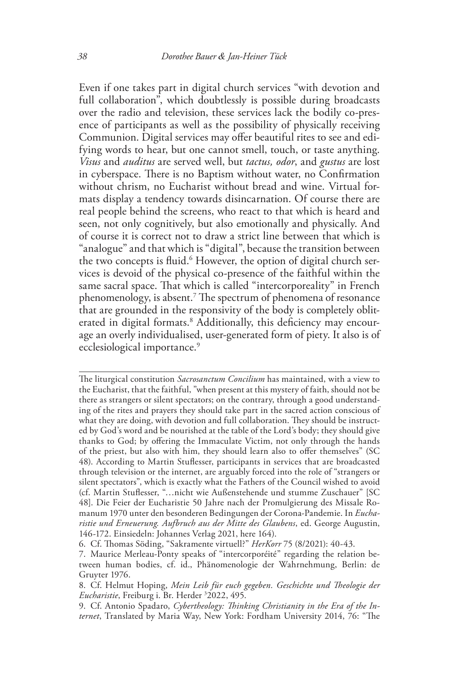Even if one takes part in digital church services "with devotion and full collaboration<sup>"</sup>, which doubtlessly is possible during broadcasts over the radio and television, these services lack the bodily co-presence of participants as well as the possibility of physically receiving Communion. Digital services may offer beautiful rites to see and edifying words to hear, but one cannot smell, touch, or taste anything. *Visus* and *auditus* are served well, but *tactus, odor*, and *gustus* are lost in cyberspace. There is no Baptism without water, no Confirmation without chrism, no Eucharist without bread and wine. Virtual formats display a tendency towards disincarnation. Of course there are real people behind the screens, who react to that which is heard and seen, not only cognitively, but also emotionally and physically. And of course it is correct not to draw a strict line between that which is "analogue" and that which is "digital", because the transition between the two concepts is fluid.<sup>6</sup> However, the option of digital church services is devoid of the physical co-presence of the faithful within the same sacral space. That which is called "intercorporeality" in French phenomenology, is absent.7 The spectrum of phenomena of resonance that are grounded in the responsivity of the body is completely obliterated in digital formats.<sup>8</sup> Additionally, this deficiency may encourage an overly individualised, user-generated form of piety. It also is of ecclesiological importance.<sup>9</sup>

The liturgical constitution *Sacrosanctum Concilium* has maintained, with a view to the Eucharist, that the faithful, "when present at this mystery of faith, should not be there as strangers or silent spectators; on the contrary, through a good understanding of the rites and prayers they should take part in the sacred action conscious of what they are doing, with devotion and full collaboration. They should be instructed by God's word and be nourished at the table of the Lord's body; they should give thanks to God; by offering the Immaculate Victim, not only through the hands of the priest, but also with him, they should learn also to offer themselves" (SC 48). According to Martin Stuflesser, participants in services that are broadcasted through television or the internet, are arguably forced into the role of "strangers or silent spectators", which is exactly what the Fathers of the Council wished to avoid (cf. Martin Stuflesser, "…nicht wie Außenstehende und stumme Zuschauer" [SC 48]. Die Feier der Eucharistie 50 Jahre nach der Promulgierung des Missale Romanum 1970 unter den besonderen Bedingungen der Corona-Pandemie. In *Eucharistie und Erneuerung. Aufbruch aus der Mitte des Glaubens*, ed. George Augustin, 146-172. Einsiedeln: Johannes Verlag 2021, here 164).

<sup>6.</sup> Cf. Thomas Söding, "Sakramente virtuell?" *HerKorr* 75 (8/2021): 40-43.

<sup>7.</sup> Maurice Merleau-Ponty speaks of "intercorporéité" regarding the relation between human bodies, cf. id., Phänomenologie der Wahrnehmung, Berlin: de Gruyter 1976.

<sup>8.</sup> Cf. Helmut Hoping, *Mein Leib für euch gegeben. Geschichte und Theologie der Eucharistie*, Freiburg i. Br. Herder 3 2022, 495.

<sup>9.</sup> Cf. Antonio Spadaro, *Cybertheology: Thinking Christianity in the Era of the Internet*, Translated by Maria Way, New York: Fordham University 2014, 76: "The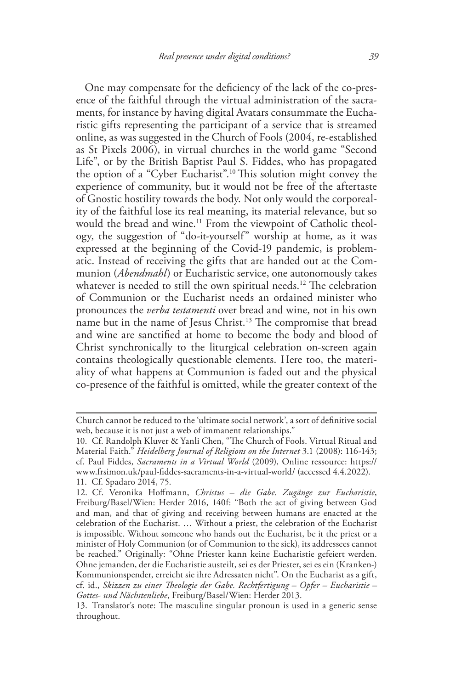One may compensate for the deficiency of the lack of the co-presence of the faithful through the virtual administration of the sacraments, for instance by having digital Avatars consummate the Eucharistic gifts representing the participant of a service that is streamed online, as was suggested in the Church of Fools (2004, re-established as St Pixels 2006), in virtual churches in the world game "Second Life", or by the British Baptist Paul S. Fiddes, who has propagated the option of a "Cyber Eucharist".<sup>10</sup> This solution might convey the experience of community, but it would not be free of the aftertaste of Gnostic hostility towards the body. Not only would the corporeality of the faithful lose its real meaning, its material relevance, but so would the bread and wine.<sup>11</sup> From the viewpoint of Catholic theology, the suggestion of "do-it-yourself" worship at home, as it was expressed at the beginning of the Covid-19 pandemic, is problematic. Instead of receiving the gifts that are handed out at the Communion (*Abendmahl*) or Eucharistic service, one autonomously takes whatever is needed to still the own spiritual needs.<sup>12</sup> The celebration of Communion or the Eucharist needs an ordained minister who pronounces the *verba testamenti* over bread and wine, not in his own name but in the name of Jesus Christ.<sup>13</sup> The compromise that bread and wine are sanctified at home to become the body and blood of Christ synchronically to the liturgical celebration on-screen again contains theologically questionable elements. Here too, the materiality of what happens at Communion is faded out and the physical co-presence of the faithful is omitted, while the greater context of the

Church cannot be reduced to the 'ultimate social network', a sort of definitive social web, because it is not just a web of immanent relationships."

<sup>10.</sup> Cf. Randolph Kluver & Yanli Chen, "The Church of Fools. Virtual Ritual and Material Faith." *Heidelberg Journal of Religions on the Internet* 3.1 (2008): 116-143; cf. Paul Fiddes, *Sacraments in a Virtual World* (2009), Online ressource: https:// www.frsimon.uk/paul-fiddes-sacraments-in-a-virtual-world/ (accessed 4.4.2022). 11. Cf. Spadaro 2014, 75.

<sup>12.</sup> Cf. Veronika Hoffmann, *Christus – die Gabe. Zugänge zur Eucharistie*, Freiburg/Basel/Wien: Herder 2016, 140f: "Both the act of giving between God and man, and that of giving and receiving between humans are enacted at the celebration of the Eucharist. … Without a priest, the celebration of the Eucharist is impossible. Without someone who hands out the Eucharist, be it the priest or a minister of Holy Communion (or of Communion to the sick), its addressees cannot be reached." Originally: "Ohne Priester kann keine Eucharistie gefeiert werden. Ohne jemanden, der die Eucharistie austeilt, sei es der Priester, sei es ein (Kranken-) Kommunionspender, erreicht sie ihre Adressaten nicht". On the Eucharist as a gift, cf. id., *Skizzen zu einer Theologie der Gabe. Rechtfertigung – Opfer – Eucharistie – Gottes- und Nächstenliebe*, Freiburg/Basel/Wien: Herder 2013.

<sup>13.</sup> Translator's note: The masculine singular pronoun is used in a generic sense throughout.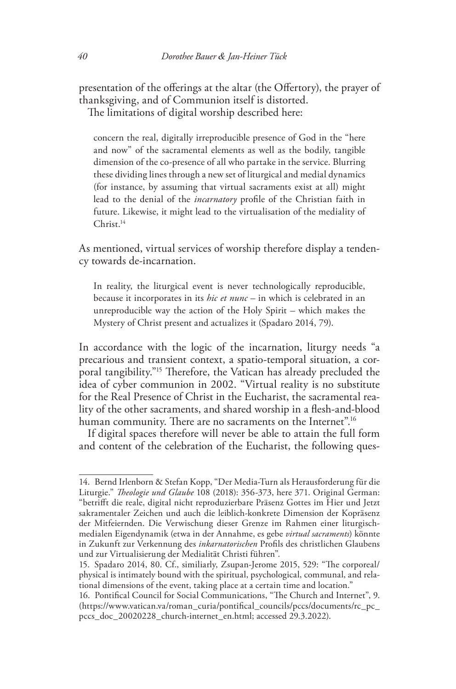presentation of the offerings at the altar (the Offertory), the prayer of thanksgiving, and of Communion itself is distorted. The limitations of digital worship described here:

concern the real, digitally irreproducible presence of God in the "here and now" of the sacramental elements as well as the bodily, tangible dimension of the co-presence of all who partake in the service. Blurring these dividing lines through a new set of liturgical and medial dynamics (for instance, by assuming that virtual sacraments exist at all) might lead to the denial of the *incarnatory* profile of the Christian faith in future. Likewise, it might lead to the virtualisation of the mediality of Christ.14

As mentioned, virtual services of worship therefore display a tendency towards de-incarnation.

In reality, the liturgical event is never technologically reproducible, because it incorporates in its *hic et nunc* – in which is celebrated in an unreproducible way the action of the Holy Spirit – which makes the Mystery of Christ present and actualizes it (Spadaro 2014, 79).

In accordance with the logic of the incarnation, liturgy needs "a precarious and transient context, a spatio-temporal situation, a corporal tangibility."15 Therefore, the Vatican has already precluded the idea of cyber communion in 2002. "Virtual reality is no substitute for the Real Presence of Christ in the Eucharist, the sacramental reality of the other sacraments, and shared worship in a flesh-and-blood human community. There are no sacraments on the Internet".<sup>16</sup>

If digital spaces therefore will never be able to attain the full form and content of the celebration of the Eucharist, the following ques-

<sup>14.</sup> Bernd Irlenborn & Stefan Kopp, "Der Media-Turn als Herausforderung für die Liturgie." *Theologie und Glaube* 108 (2018): 356-373, here 371. Original German: "betrifft die reale, digital nicht reproduzierbare Präsenz Gottes im Hier und Jetzt sakramentaler Zeichen und auch die leiblich-konkrete Dimension der Kopräsenz der Mitfeiernden. Die Verwischung dieser Grenze im Rahmen einer liturgischmedialen Eigendynamik (etwa in der Annahme, es gebe *virtual sacraments*) könnte in Zukunft zur Verkennung des *inkarnatorischen* Profils des christlichen Glaubens und zur Virtualisierung der Medialität Christi führen".

<sup>15.</sup> Spadaro 2014, 80. Cf., similiarly, Zsupan-Jerome 2015, 529: "The corporeal/ physical is intimately bound with the spiritual, psychological, communal, and relational dimensions of the event, taking place at a certain time and location."

<sup>16.</sup> Pontifical Council for Social Communications, "The Church and Internet", 9. (https://www.vatican.va/roman\_curia/pontifical\_councils/pccs/documents/rc\_pc\_ pccs\_doc\_20020228\_church-internet\_en.html; accessed 29.3.2022).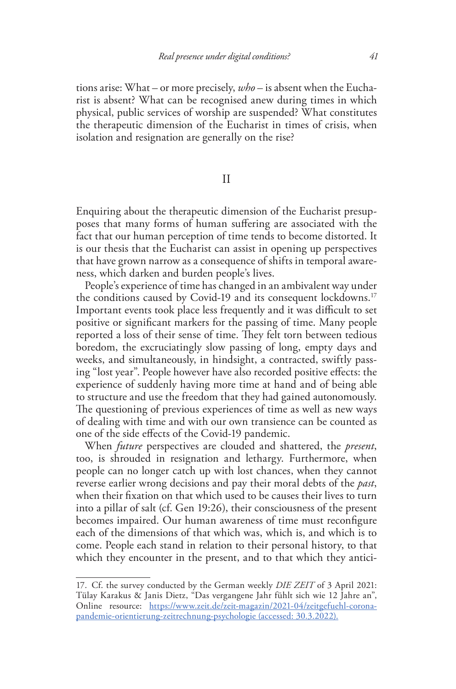tions arise: What – or more precisely, *who* – is absent when the Eucharist is absent? What can be recognised anew during times in which physical, public services of worship are suspended? What constitutes the therapeutic dimension of the Eucharist in times of crisis, when isolation and resignation are generally on the rise?

# II

Enquiring about the therapeutic dimension of the Eucharist presupposes that many forms of human suffering are associated with the fact that our human perception of time tends to become distorted. It is our thesis that the Eucharist can assist in opening up perspectives that have grown narrow as a consequence of shifts in temporal awareness, which darken and burden people's lives.

People's experience of time has changed in an ambivalent way under the conditions caused by Covid-19 and its consequent lockdowns.<sup>17</sup> Important events took place less frequently and it was difficult to set positive or significant markers for the passing of time. Many people reported a loss of their sense of time. They felt torn between tedious boredom, the excruciatingly slow passing of long, empty days and weeks, and simultaneously, in hindsight, a contracted, swiftly passing "lost year". People however have also recorded positive effects: the experience of suddenly having more time at hand and of being able to structure and use the freedom that they had gained autonomously. The questioning of previous experiences of time as well as new ways of dealing with time and with our own transience can be counted as one of the side effects of the Covid-19 pandemic.

When *future* perspectives are clouded and shattered, the *present*, too, is shrouded in resignation and lethargy. Furthermore, when people can no longer catch up with lost chances, when they cannot reverse earlier wrong decisions and pay their moral debts of the *past*, when their fixation on that which used to be causes their lives to turn into a pillar of salt (cf. Gen 19:26), their consciousness of the present becomes impaired. Our human awareness of time must reconfigure each of the dimensions of that which was, which is, and which is to come. People each stand in relation to their personal history, to that which they encounter in the present, and to that which they antici-

<sup>17.</sup> Cf. the survey conducted by the German weekly *DIE ZEIT* of 3 April 2021: Tülay Karakus & Janis Dietz, "Das vergangene Jahr fühlt sich wie 12 Jahre an", Online resource: https://www.zeit.de/zeit-magazin/2021-04/zeitgefuehl-coronapandemie-orientierung-zeitrechnung-psychologie (accessed: 30.3.2022).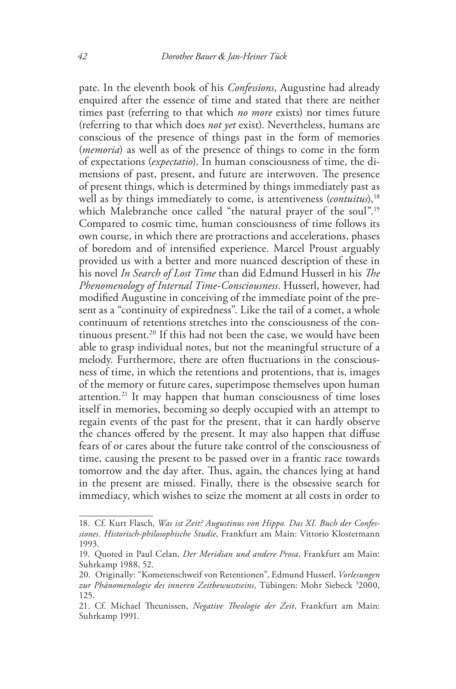pate. In the eleventh book of his *Confessions*, Augustine had already enquired after the essence of time and stated that there are neither times past (referring to that which *no more* exists) nor times future (referring to that which does *not yet* exist). Nevertheless, humans are conscious of the presence of things past in the form of memories (*memoria*) as well as of the presence of things to come in the form of expectations (*expectatio*). In human consciousness of time, the dimensions of past, present, and future are interwoven. The presence of present things, which is determined by things immediately past as well as by things immediately to come, is attentiveness (*contuitus*),<sup>18</sup> which Malebranche once called "the natural prayer of the soul".<sup>19</sup> Compared to cosmic time, human consciousness of time follows its own course, in which there are protractions and accelerations, phases of boredom and of intensified experience. Marcel Proust arguably provided us with a better and more nuanced description of these in his novel *In Search of Lost Time* than did Edmund Husserl in his *The Phenomenology of Internal Time-Consciousness*. Husserl, however, had modified Augustine in conceiving of the immediate point of the present as a "continuity of expiredness". Like the tail of a comet, a whole continuum of retentions stretches into the consciousness of the continuous present.<sup>20</sup> If this had not been the case, we would have been able to grasp individual notes, but not the meaningful structure of a melody. Furthermore, there are often fluctuations in the consciousness of time, in which the retentions and protentions, that is, images of the memory or future cares, superimpose themselves upon human attention.21 It may happen that human consciousness of time loses itself in memories, becoming so deeply occupied with an attempt to regain events of the past for the present, that it can hardly observe the chances offered by the present. It may also happen that diffuse fears of or cares about the future take control of the consciousness of time, causing the present to be passed over in a frantic race towards tomorrow and the day after. Thus, again, the chances lying at hand in the present are missed. Finally, there is the obsessive search for immediacy, which wishes to seize the moment at all costs in order to

<sup>18.</sup> Cf. Kurt Flasch, *Was ist Zeit? Augustinus von Hippo. Das XI. Buch der Confessiones. Historisch-philosophische Studie*, Frankfurt am Main: Vittorio Klostermann 1993.

<sup>19.</sup> Quoted in Paul Celan, *Der Meridian und andere Prosa*, Frankfurt am Main: Suhrkamp 1988, 52.

<sup>20.</sup> Originally: "Kometenschweif von Retentionen", Edmund Husserl, *Vorlesungen*  zur Phänomenologie des inneren Zeitbewusstseins, Tübingen: Mohr Siebeck <sup>3</sup>2000, 125.

<sup>21.</sup> Cf. Michael Theunissen, *Negative Theologie der Zeit*, Frankfurt am Main: Suhrkamp 1991.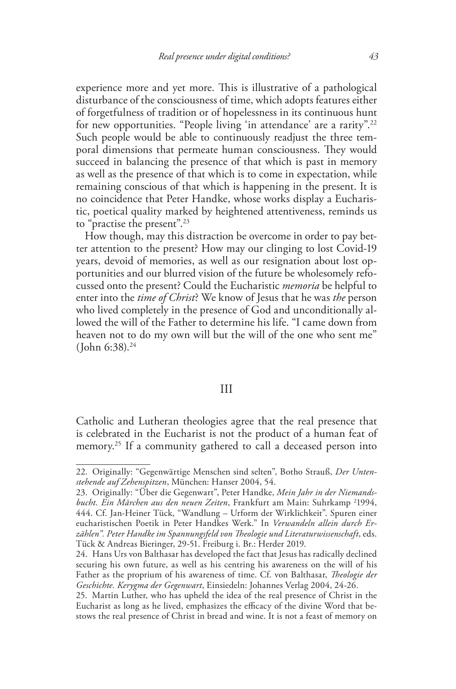experience more and yet more. This is illustrative of a pathological disturbance of the consciousness of time, which adopts features either of forgetfulness of tradition or of hopelessness in its continuous hunt for new opportunities. "People living 'in attendance' are a rarity".22 Such people would be able to continuously readjust the three temporal dimensions that permeate human consciousness. They would succeed in balancing the presence of that which is past in memory as well as the presence of that which is to come in expectation, while remaining conscious of that which is happening in the present. It is no coincidence that Peter Handke, whose works display a Eucharistic, poetical quality marked by heightened attentiveness, reminds us to "practise the present".23

How though, may this distraction be overcome in order to pay better attention to the present? How may our clinging to lost Covid-19 years, devoid of memories, as well as our resignation about lost opportunities and our blurred vision of the future be wholesomely refocussed onto the present? Could the Eucharistic *memoria* be helpful to enter into the *time of Christ*? We know of Jesus that he was *the* person who lived completely in the presence of God and unconditionally allowed the will of the Father to determine his life. "I came down from heaven not to do my own will but the will of the one who sent me"  $(John 6:38).<sup>24</sup>$ 

#### III

Catholic and Lutheran theologies agree that the real presence that is celebrated in the Eucharist is not the product of a human feat of memory.<sup>25</sup> If a community gathered to call a deceased person into

<sup>22.</sup> Originally: "Gegenwärtige Menschen sind selten", Botho Strauß, *Der Untenstehende auf Zehenspitzen*, München: Hanser 2004, 54.

<sup>23.</sup> Originally: "Über die Gegenwart", Peter Handke, *Mein Jahr in der Niemandsbucht. Ein Märchen aus den neuen Zeiten*, Frankfurt am Main: Suhrkamp 2 1994, 444. Cf. Jan-Heiner Tück, "Wandlung – Urform der Wirklichkeit". Spuren einer eucharistischen Poetik in Peter Handkes Werk." In *Verwandeln allein durch Erzählen". Peter Handke im Spannungsfeld von Theologie und Literaturwissenschaft*, eds. Tück & Andreas Bieringer, 29-51. Freiburg i. Br.: Herder 2019.

<sup>24.</sup> Hans Urs von Balthasar has developed the fact that Jesus has radically declined securing his own future, as well as his centring his awareness on the will of his Father as the proprium of his awareness of time. Cf. von Balthasar, *Theologie der Geschichte. Kerygma der Gegenwart*, Einsiedeln: Johannes Verlag 2004, 24-26.

<sup>25.</sup> Martin Luther, who has upheld the idea of the real presence of Christ in the Eucharist as long as he lived, emphasizes the efficacy of the divine Word that bestows the real presence of Christ in bread and wine. It is not a feast of memory on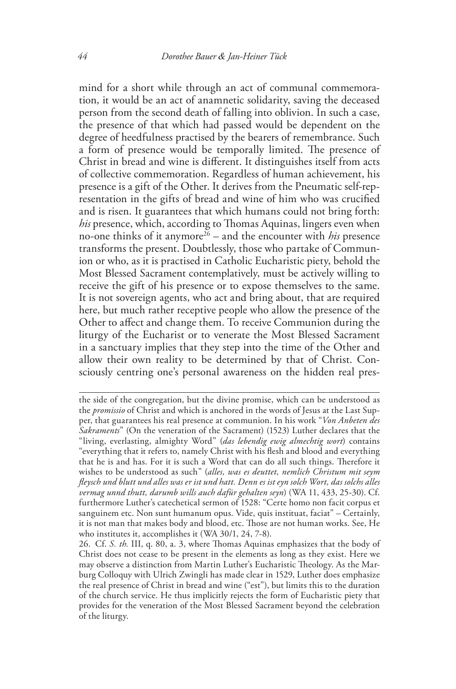mind for a short while through an act of communal commemoration, it would be an act of anamnetic solidarity, saving the deceased person from the second death of falling into oblivion. In such a case, the presence of that which had passed would be dependent on the degree of heedfulness practised by the bearers of remembrance. Such a form of presence would be temporally limited. The presence of Christ in bread and wine is different. It distinguishes itself from acts of collective commemoration. Regardless of human achievement, his presence is a gift of the Other. It derives from the Pneumatic self-representation in the gifts of bread and wine of him who was crucified and is risen. It guarantees that which humans could not bring forth: *his* presence, which, according to Thomas Aquinas, lingers even when no-one thinks of it anymore<sup>26</sup> – and the encounter with *his* presence transforms the present. Doubtlessly, those who partake of Communion or who, as it is practised in Catholic Eucharistic piety, behold the Most Blessed Sacrament contemplatively, must be actively willing to receive the gift of his presence or to expose themselves to the same. It is not sovereign agents, who act and bring about, that are required here, but much rather receptive people who allow the presence of the Other to affect and change them. To receive Communion during the liturgy of the Eucharist or to venerate the Most Blessed Sacrament in a sanctuary implies that they step into the time of the Other and allow their own reality to be determined by that of Christ. Consciously centring one's personal awareness on the hidden real pres-

the side of the congregation, but the divine promise, which can be understood as the *promissio* of Christ and which is anchored in the words of Jesus at the Last Supper, that guarantees his real presence at communion. In his work "*Von Anbeten des Sakraments*" (On the veneration of the Sacrament) (1523) Luther declares that the "living, everlasting, almighty Word" (*das lebendig ewig almechtig wort*) contains "everything that it refers to, namely Christ with his flesh and blood and everything that he is and has. For it is such a Word that can do all such things. Therefore it wishes to be understood as such" (*alles, was es deuttet, nemlich Christum mit seym fleysch und blutt und alles was er ist und hatt. Denn es ist eyn solch Wort, das solchs alles vermag unnd thutt, darumb wills auch dafür gehalten seyn*) (WA 11, 433, 25-30). Cf. furthermore Luther's catechetical sermon of 1528: "Certe homo non facit corpus et sanguinem etc. Non sunt humanum opus. Vide, quis instituat, faciat" – Certainly, it is not man that makes body and blood, etc. Those are not human works. See, He who institutes it, accomplishes it (WA 30/1, 24, 7-8).

<sup>26.</sup> Cf. *S. th.* III, q. 80, a. 3, where Thomas Aquinas emphasizes that the body of Christ does not cease to be present in the elements as long as they exist. Here we may observe a distinction from Martin Luther's Eucharistic Theology. As the Marburg Colloquy with Ulrich Zwingli has made clear in 1529, Luther does emphasize the real presence of Christ in bread and wine ("est"), but limits this to the duration of the church service. He thus implicitly rejects the form of Eucharistic piety that provides for the veneration of the Most Blessed Sacrament beyond the celebration of the liturgy.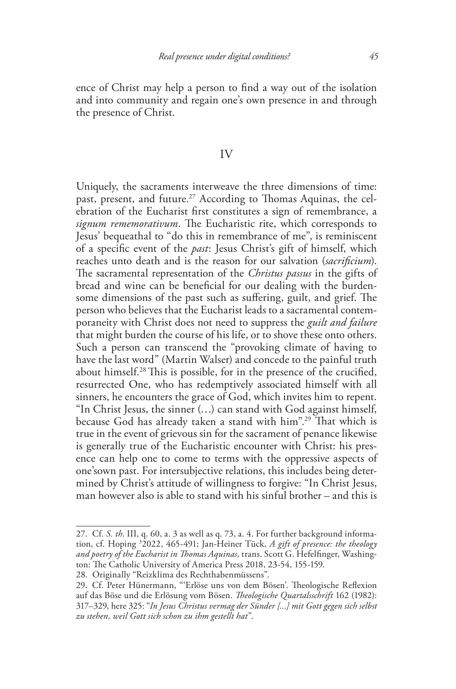ence of Christ may help a person to find a way out of the isolation and into community and regain one's own presence in and through the presence of Christ.

## IV

Uniquely, the sacraments interweave the three dimensions of time: past, present, and future.<sup>27</sup> According to Thomas Aquinas, the celebration of the Eucharist first constitutes a sign of remembrance, a *signum rememorativum*. The Eucharistic rite, which corresponds to Jesus' bequeathal to "do this in remembrance of me", is reminiscent of a specific event of the *past*: Jesus Christ's gift of himself, which reaches unto death and is the reason for our salvation (*sacrificium*). The sacramental representation of the *Christus passus* in the gifts of bread and wine can be beneficial for our dealing with the burdensome dimensions of the past such as suffering, guilt, and grief. The person who believes that the Eucharist leads to a sacramental contemporaneity with Christ does not need to suppress the *guilt and failure* that might burden the course of his life, or to shove these onto others. Such a person can transcend the "provoking climate of having to have the last word" (Martin Walser) and concede to the painful truth about himself.<sup>28</sup> This is possible, for in the presence of the crucified, resurrected One, who has redemptively associated himself with all sinners, he encounters the grace of God, which invites him to repent. "In Christ Jesus, the sinner (…) can stand with God against himself, because God has already taken a stand with him".29 That which is true in the event of grievous sin for the sacrament of penance likewise is generally true of the Eucharistic encounter with Christ: his presence can help one to come to terms with the oppressive aspects of one'sown past. For intersubjective relations, this includes being determined by Christ's attitude of willingness to forgive: "In Christ Jesus, man however also is able to stand with his sinful brother – and this is

<sup>27.</sup> Cf. *S. th*. III, q. 60, a. 3 as well as q. 73, a. 4. For further background information, cf. Hoping 3 2022, 465-491; Jan-Heiner Tück, *A gift of presence: the theology and poetry of the Eucharist in Thomas Aquinas*, trans. Scott G. Hefelfinger, Washington: The Catholic University of America Press 2018, 23-54, 155-159.

<sup>28.</sup> Originally "Reizklima des Rechthabenmüssens".

<sup>29.</sup> Cf. Peter Hünermann, "'Erlöse uns von dem Bösen'. Theologische Reflexion auf das Böse und die Erlösung vom Bösen. *Theologische Quartalsschrift* 162 (1982): 317–329, here 325: "*In Jesus Christus vermag der Sünder [...] mit Gott gegen sich selbst zu stehen, weil Gott sich schon zu ihm gestellt hat*".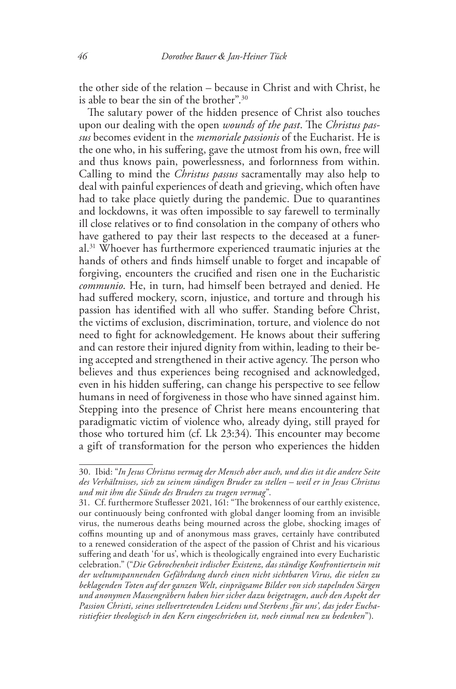the other side of the relation – because in Christ and with Christ, he is able to bear the sin of the brother".30

The salutary power of the hidden presence of Christ also touches upon our dealing with the open *wounds of the past*. The *Christus passus* becomes evident in the *memoriale passionis* of the Eucharist. He is the one who, in his suffering, gave the utmost from his own, free will and thus knows pain, powerlessness, and forlornness from within. Calling to mind the *Christus passus* sacramentally may also help to deal with painful experiences of death and grieving, which often have had to take place quietly during the pandemic. Due to quarantines and lockdowns, it was often impossible to say farewell to terminally ill close relatives or to find consolation in the company of others who have gathered to pay their last respects to the deceased at a funeral.31 Whoever has furthermore experienced traumatic injuries at the hands of others and finds himself unable to forget and incapable of forgiving, encounters the crucified and risen one in the Eucharistic *communio*. He, in turn, had himself been betrayed and denied. He had suffered mockery, scorn, injustice, and torture and through his passion has identified with all who suffer. Standing before Christ, the victims of exclusion, discrimination, torture, and violence do not need to fight for acknowledgement. He knows about their suffering and can restore their injured dignity from within, leading to their being accepted and strengthened in their active agency. The person who believes and thus experiences being recognised and acknowledged, even in his hidden suffering, can change his perspective to see fellow humans in need of forgiveness in those who have sinned against him. Stepping into the presence of Christ here means encountering that paradigmatic victim of violence who, already dying, still prayed for those who tortured him (cf. Lk 23:34). This encounter may become a gift of transformation for the person who experiences the hidden

<sup>30.</sup> Ibid: "*In Jesus Christus vermag der Mensch aber auch, und dies ist die andere Seite des Verhältnisses, sich zu seinem sündigen Bruder zu stellen – weil er in Jesus Christus und mit ihm die Sünde des Bruders zu tragen vermag*".

<sup>31.</sup> Cf. furthermore Stuflesser 2021, 161: "The brokenness of our earthly existence, our continuously being confronted with global danger looming from an invisible virus, the numerous deaths being mourned across the globe, shocking images of coffins mounting up and of anonymous mass graves, certainly have contributed to a renewed consideration of the aspect of the passion of Christ and his vicarious suffering and death 'for us', which is theologically engrained into every Eucharistic celebration." ("*Die Gebrochenheit irdischer Existenz, das ständige Konfrontiertsein mit der weltumspannenden Gefährdung durch einen nicht sichtbaren Virus, die vielen zu beklagenden Toten auf der ganzen Welt, einprägsame Bilder von sich stapelnden Särgen und anonymen Massengräbern haben hier sicher dazu beigetragen, auch den Aspekt der Passion Christi, seines stellvertretenden Leidens und Sterbens ,für uns', das jeder Eucharistiefeier theologisch in den Kern eingeschrieben ist, noch einmal neu zu bedenken*").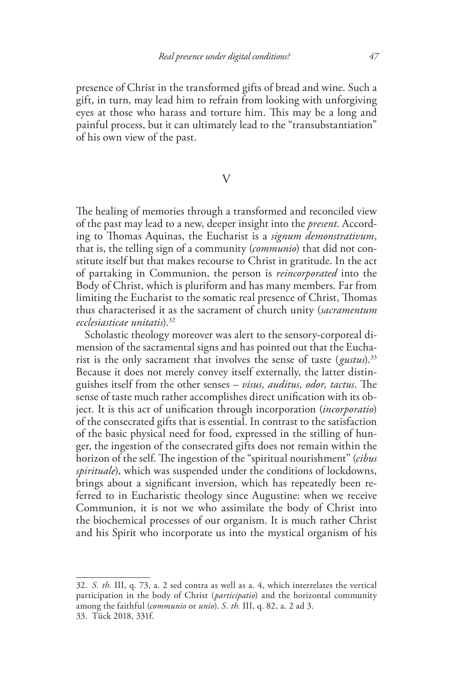presence of Christ in the transformed gifts of bread and wine. Such a gift, in turn, may lead him to refrain from looking with unforgiving eyes at those who harass and torture him. This may be a long and painful process, but it can ultimately lead to the "transubstantiation" of his own view of the past.

## V

The healing of memories through a transformed and reconciled view of the past may lead to a new, deeper insight into the *present*. According to Thomas Aquinas, the Eucharist is a *signum demonstrativum*, that is, the telling sign of a community (*communio*) that did not constitute itself but that makes recourse to Christ in gratitude. In the act of partaking in Communion, the person is *reincorporated* into the Body of Christ, which is pluriform and has many members. Far from limiting the Eucharist to the somatic real presence of Christ, Thomas thus characterised it as the sacrament of church unity (*sacramentum ecclesiasticae unitatis*).32

Scholastic theology moreover was alert to the sensory-corporeal dimension of the sacramental signs and has pointed out that the Eucharist is the only sacrament that involves the sense of taste (*gustus*).33 Because it does not merely convey itself externally, the latter distinguishes itself from the other senses – *visus, auditus, odor, tactus*. The sense of taste much rather accomplishes direct unification with its object. It is this act of unification through incorporation (*incorporatio*) of the consecrated gifts that is essential. In contrast to the satisfaction of the basic physical need for food, expressed in the stilling of hunger, the ingestion of the consecrated gifts does not remain within the horizon of the self. The ingestion of the "spiritual nourishment" (*cibus spirituale*), which was suspended under the conditions of lockdowns, brings about a significant inversion, which has repeatedly been referred to in Eucharistic theology since Augustine: when we receive Communion, it is not we who assimilate the body of Christ into the biochemical processes of our organism. It is much rather Christ and his Spirit who incorporate us into the mystical organism of his

<sup>32.</sup> *S. th.* III, q. 73, a. 2 sed contra as well as a. 4, which interrelates the vertical participation in the body of Christ (*participatio*) and the horizontal community among the faithful (*communio* or *unio*). *S. th.* III, q. 82, a. 2 ad 3. 33. Tück 2018, 331f.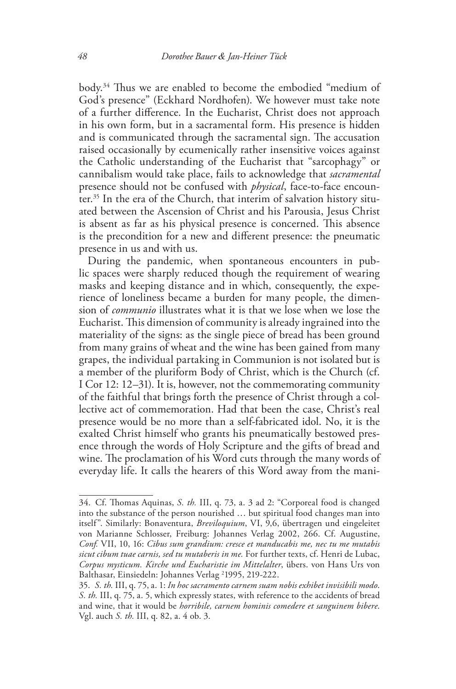body.34 Thus we are enabled to become the embodied "medium of God's presence" (Eckhard Nordhofen). We however must take note of a further difference. In the Eucharist, Christ does not approach in his own form, but in a sacramental form. His presence is hidden and is communicated through the sacramental sign. The accusation raised occasionally by ecumenically rather insensitive voices against the Catholic understanding of the Eucharist that "sarcophagy" or cannibalism would take place, fails to acknowledge that *sacramental* presence should not be confused with *physical*, face-to-face encounter.35 In the era of the Church, that interim of salvation history situated between the Ascension of Christ and his Parousia, Jesus Christ is absent as far as his physical presence is concerned. This absence is the precondition for a new and different presence: the pneumatic presence in us and with us.

During the pandemic, when spontaneous encounters in public spaces were sharply reduced though the requirement of wearing masks and keeping distance and in which, consequently, the experience of loneliness became a burden for many people, the dimension of *communio* illustrates what it is that we lose when we lose the Eucharist. This dimension of community is already ingrained into the materiality of the signs: as the single piece of bread has been ground from many grains of wheat and the wine has been gained from many grapes, the individual partaking in Communion is not isolated but is a member of the pluriform Body of Christ, which is the Church (cf. I Cor 12: 12–31). It is, however, not the commemorating community of the faithful that brings forth the presence of Christ through a collective act of commemoration. Had that been the case, Christ's real presence would be no more than a self-fabricated idol. No, it is the exalted Christ himself who grants his pneumatically bestowed presence through the words of Holy Scripture and the gifts of bread and wine. The proclamation of his Word cuts through the many words of everyday life. It calls the hearers of this Word away from the mani-

<sup>34.</sup> Cf. Thomas Aquinas, *S. th.* III, q. 73, a. 3 ad 2: "Corporeal food is changed into the substance of the person nourished … but spiritual food changes man into itself". Similarly: Bonaventura, *Breviloquium*, VI, 9,6, übertragen und eingeleitet von Marianne Schlosser, Freiburg: Johannes Verlag 2002, 266. Cf. Augustine, *Conf.* VII, 10, 16: *Cibus sum grandium: cresce et manducabis me, nec tu me mutabis sicut cibum tuae carnis, sed tu mutaberis in me.* For further texts, cf. Henri de Lubac, *Corpus mysticum. Kirche und Eucharistie im Mittelalter*, übers. von Hans Urs von Balthasar, Einsiedeln: Johannes Verlag <sup>2</sup>1995, 219-222.

<sup>35.</sup> *S. th.* III, q. 75, a. 1: *In hoc sacramento carnem suam nobis exhibet invisibili modo*. *S. th.* III, q. 75, a. 5, which expressly states, with reference to the accidents of bread and wine, that it would be *horribile, carnem hominis comedere et sanguinem bibere*. Vgl. auch *S. th.* III, q. 82, a. 4 ob. 3.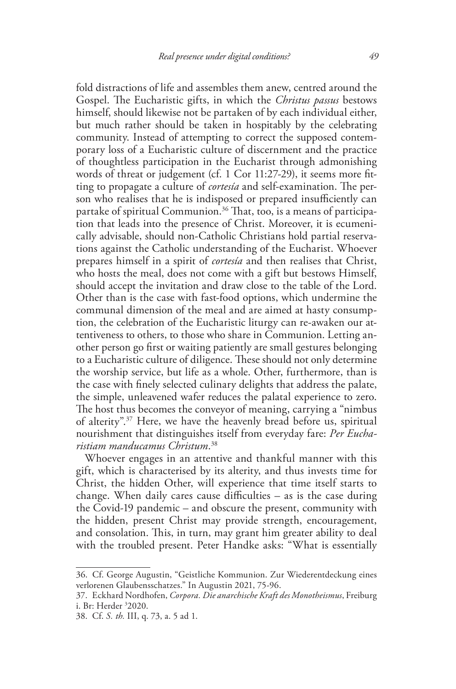fold distractions of life and assembles them anew, centred around the Gospel. The Eucharistic gifts, in which the *Christus passus* bestows himself, should likewise not be partaken of by each individual either, but much rather should be taken in hospitably by the celebrating community. Instead of attempting to correct the supposed contemporary loss of a Eucharistic culture of discernment and the practice of thoughtless participation in the Eucharist through admonishing words of threat or judgement (cf. 1 Cor 11:27-29), it seems more fitting to propagate a culture of *cortesía* and self-examination. The person who realises that he is indisposed or prepared insufficiently can partake of spiritual Communion.<sup>36</sup> That, too, is a means of participation that leads into the presence of Christ. Moreover, it is ecumenically advisable, should non-Catholic Christians hold partial reservations against the Catholic understanding of the Eucharist. Whoever prepares himself in a spirit of *cortesía* and then realises that Christ, who hosts the meal, does not come with a gift but bestows Himself, should accept the invitation and draw close to the table of the Lord. Other than is the case with fast-food options, which undermine the communal dimension of the meal and are aimed at hasty consumption, the celebration of the Eucharistic liturgy can re-awaken our attentiveness to others, to those who share in Communion. Letting another person go first or waiting patiently are small gestures belonging to a Eucharistic culture of diligence. These should not only determine the worship service, but life as a whole. Other, furthermore, than is the case with finely selected culinary delights that address the palate, the simple, unleavened wafer reduces the palatal experience to zero. The host thus becomes the conveyor of meaning, carrying a "nimbus of alterity".37 Here, we have the heavenly bread before us, spiritual nourishment that distinguishes itself from everyday fare: *Per Eucharistiam manducamus Christum*. 38

Whoever engages in an attentive and thankful manner with this gift, which is characterised by its alterity, and thus invests time for Christ, the hidden Other, will experience that time itself starts to change. When daily cares cause difficulties – as is the case during the Covid-19 pandemic – and obscure the present, community with the hidden, present Christ may provide strength, encouragement, and consolation. This, in turn, may grant him greater ability to deal with the troubled present. Peter Handke asks: "What is essentially

<sup>36.</sup> Cf. George Augustin, "Geistliche Kommunion. Zur Wiederentdeckung eines verlorenen Glaubensschatzes." In Augustin 2021, 75-96.

<sup>37.</sup> Eckhard Nordhofen, *Corpora. Die anarchische Kraft des Monotheismus*, Freiburg i. Br: Herder 3 2020.

<sup>38.</sup> Cf. *S. th.* III, q. 73, a. 5 ad 1.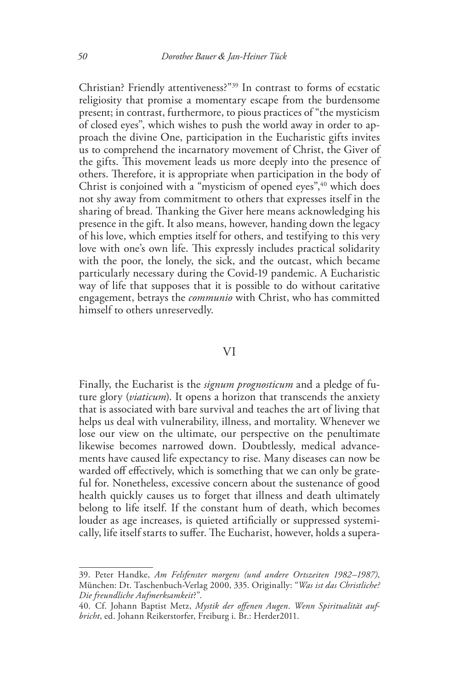Christian? Friendly attentiveness?"39 In contrast to forms of ecstatic religiosity that promise a momentary escape from the burdensome present; in contrast, furthermore, to pious practices of "the mysticism of closed eyes", which wishes to push the world away in order to approach the divine One, participation in the Eucharistic gifts invites us to comprehend the incarnatory movement of Christ, the Giver of the gifts. This movement leads us more deeply into the presence of others. Therefore, it is appropriate when participation in the body of Christ is conjoined with a "mysticism of opened eyes",<sup>40</sup> which does not shy away from commitment to others that expresses itself in the sharing of bread. Thanking the Giver here means acknowledging his presence in the gift. It also means, however, handing down the legacy of his love, which empties itself for others, and testifying to this very love with one's own life. This expressly includes practical solidarity with the poor, the lonely, the sick, and the outcast, which became particularly necessary during the Covid-19 pandemic. A Eucharistic way of life that supposes that it is possible to do without caritative engagement, betrays the *communio* with Christ, who has committed himself to others unreservedly.

### VI

Finally, the Eucharist is the *signum prognosticum* and a pledge of future glory (*viaticum*). It opens a horizon that transcends the anxiety that is associated with bare survival and teaches the art of living that helps us deal with vulnerability, illness, and mortality. Whenever we lose our view on the ultimate, our perspective on the penultimate likewise becomes narrowed down. Doubtlessly, medical advancements have caused life expectancy to rise. Many diseases can now be warded off effectively, which is something that we can only be grateful for. Nonetheless, excessive concern about the sustenance of good health quickly causes us to forget that illness and death ultimately belong to life itself. If the constant hum of death, which becomes louder as age increases, is quieted artificially or suppressed systemically, life itself starts to suffer. The Eucharist, however, holds a supera-

<sup>39.</sup> Peter Handke, *Am Felsfenster morgens (und andere Ortszeiten 1982–1987)*, München: Dt. Taschenbuch-Verlag 2000, 335. Originally: "*Was ist das Christliche? Die freundliche Aufmerksamkeit*?".

<sup>40.</sup> Cf. Johann Baptist Metz, *Mystik der offenen Augen*. *Wenn Spiritualität aufbricht*, ed. Johann Reikerstorfer, Freiburg i. Br.: Herder2011.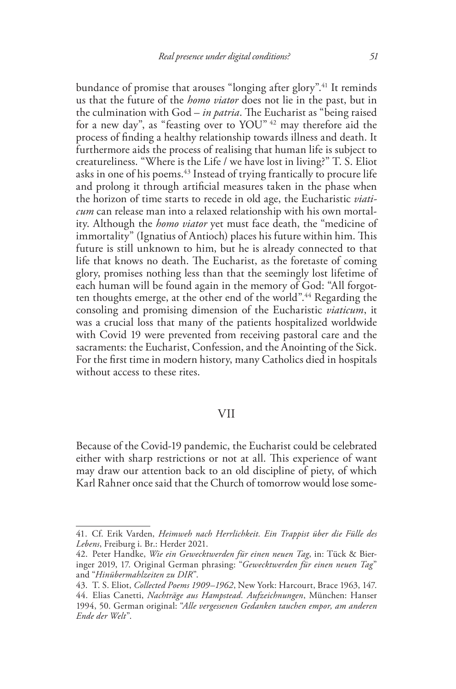bundance of promise that arouses "longing after glory".<sup>41</sup> It reminds us that the future of the *homo viator* does not lie in the past, but in the culmination with God – *in patria*. The Eucharist as "being raised for a new day", as "feasting over to YOU" 42 may therefore aid the process of finding a healthy relationship towards illness and death. It furthermore aids the process of realising that human life is subject to creatureliness. "Where is the Life / we have lost in living?" T. S. Eliot asks in one of his poems.<sup>43</sup> Instead of trying frantically to procure life and prolong it through artificial measures taken in the phase when the horizon of time starts to recede in old age, the Eucharistic *viaticum* can release man into a relaxed relationship with his own mortality. Although the *homo viator* yet must face death, the "medicine of immortality" (Ignatius of Antioch) places his future within him. This future is still unknown to him, but he is already connected to that life that knows no death. The Eucharist, as the foretaste of coming glory, promises nothing less than that the seemingly lost lifetime of each human will be found again in the memory of God: "All forgotten thoughts emerge, at the other end of the world".<sup>44</sup> Regarding the consoling and promising dimension of the Eucharistic *viaticum*, it was a crucial loss that many of the patients hospitalized worldwide with Covid 19 were prevented from receiving pastoral care and the sacraments: the Eucharist, Confession, and the Anointing of the Sick. For the first time in modern history, many Catholics died in hospitals without access to these rites.

### VII

Because of the Covid-19 pandemic, the Eucharist could be celebrated either with sharp restrictions or not at all. This experience of want may draw our attention back to an old discipline of piety, of which Karl Rahner once said that the Church of tomorrow would lose some-

<sup>41.</sup> Cf. Erik Varden, *Heimweh nach Herrlichkeit. Ein Trappist über die Fülle des Lebens*, Freiburg i. Br.: Herder 2021.

<sup>42.</sup> Peter Handke, *Wie ein Gewecktwerden für einen neuen Tag*, in: Tück & Bieringer 2019, 17. Original German phrasing: "*Gewecktwerden für einen neuen Tag*" and "*Hinübermahlzeiten zu DIR*".

<sup>43.</sup> T. S. Eliot, *Collected Poems 1909–1962*, New York: Harcourt, Brace 1963, 147.

<sup>44.</sup> Elias Canetti, *Nachträge aus Hampstead. Aufzeichnungen*, München: Hanser 1994, 50. German original: "*Alle vergessenen Gedanken tauchen empor, am anderen Ende der Welt*".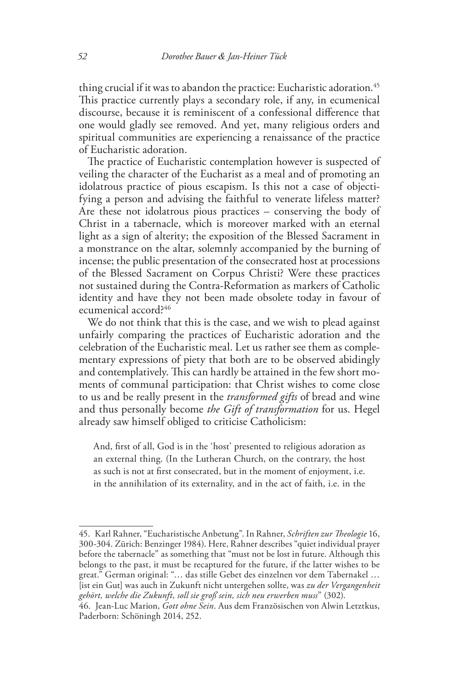thing crucial if it was to abandon the practice: Eucharistic adoration.<sup>45</sup> This practice currently plays a secondary role, if any, in ecumenical discourse, because it is reminiscent of a confessional difference that one would gladly see removed. And yet, many religious orders and spiritual communities are experiencing a renaissance of the practice of Eucharistic adoration.

The practice of Eucharistic contemplation however is suspected of veiling the character of the Eucharist as a meal and of promoting an idolatrous practice of pious escapism. Is this not a case of objectifying a person and advising the faithful to venerate lifeless matter? Are these not idolatrous pious practices – conserving the body of Christ in a tabernacle, which is moreover marked with an eternal light as a sign of alterity; the exposition of the Blessed Sacrament in a monstrance on the altar, solemnly accompanied by the burning of incense; the public presentation of the consecrated host at processions of the Blessed Sacrament on Corpus Christi? Were these practices not sustained during the Contra-Reformation as markers of Catholic identity and have they not been made obsolete today in favour of ecumenical accord?46

We do not think that this is the case, and we wish to plead against unfairly comparing the practices of Eucharistic adoration and the celebration of the Eucharistic meal. Let us rather see them as complementary expressions of piety that both are to be observed abidingly and contemplatively. This can hardly be attained in the few short moments of communal participation: that Christ wishes to come close to us and be really present in the *transformed gifts* of bread and wine and thus personally become *the Gift of transformation* for us. Hegel already saw himself obliged to criticise Catholicism:

And, first of all, God is in the 'host' presented to religious adoration as an external thing. (In the Lutheran Church, on the contrary, the host as such is not at first consecrated, but in the moment of enjoyment, i.e. in the annihilation of its externality, and in the act of faith, i.e. in the

<sup>45.</sup> Karl Rahner, "Eucharistische Anbetung". In Rahner, *Schriften zur Theologie* 16, 300-304. Zürich: Benzinger 1984). Here, Rahner describes "quiet individual prayer before the tabernacle" as something that "must not be lost in future. Although this belongs to the past, it must be recaptured for the future, if the latter wishes to be great." German original: "… das stille Gebet des einzelnen vor dem Tabernakel … [ist ein Gut] was auch in Zukunft nicht untergehen sollte, was *zu der Vergangenheit gehört, welche die Zukunft, soll sie groß sein, sich neu erwerben muss*" (302).

<sup>46.</sup> Jean-Luc Marion, *Gott ohne Sein*. Aus dem Französischen von Alwin Letztkus, Paderborn: Schöningh 2014, 252.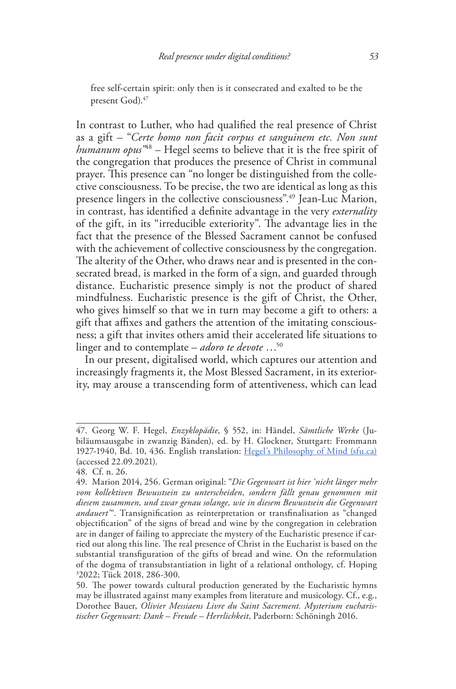free self-certain spirit: only then is it consecrated and exalted to be the present God).<sup>47</sup>

In contrast to Luther, who had qualified the real presence of Christ as a gift – "*Certe homo non facit corpus et sanguinem etc. Non sunt humanum opus"*48 – Hegel seems to believe that it is the free spirit of the congregation that produces the presence of Christ in communal prayer. This presence can "no longer be distinguished from the collective consciousness. To be precise, the two are identical as long as this presence lingers in the collective consciousness".49 Jean-Luc Marion, in contrast, has identified a definite advantage in the very *externality* of the gift, in its "irreducible exteriority". The advantage lies in the fact that the presence of the Blessed Sacrament cannot be confused with the achievement of collective consciousness by the congregation. The alterity of the Other, who draws near and is presented in the consecrated bread, is marked in the form of a sign, and guarded through distance. Eucharistic presence simply is not the product of shared mindfulness. Eucharistic presence is the gift of Christ, the Other, who gives himself so that we in turn may become a gift to others: a gift that affixes and gathers the attention of the imitating consciousness; a gift that invites others amid their accelerated life situations to linger and to contemplate – *adoro te devote* …50

In our present, digitalised world, which captures our attention and increasingly fragments it, the Most Blessed Sacrament, in its exteriority, may arouse a transcending form of attentiveness, which can lead

<sup>47.</sup> Georg W. F. Hegel, *Enzyklopädie*, § 552, in: Händel, *Sämtliche Werke* (Jubiläumsausgabe in zwanzig Bänden), ed. by H. Glockner, Stuttgart: Frommann 1927-1940, Bd. 10, 436. English translation: Hegel's Philosophy of Mind (sfu.ca) (accessed 22.09.2021).

<sup>48.</sup> Cf. n. 26.

<sup>49.</sup> Marion 2014, 256. German original: "*Die Gegenwart ist hier 'nicht länger mehr vom kollektiven Bewusstsein zu unterscheiden, sondern fällt genau genommen mit diesem zusammen, und zwar genau solange, wie in diesem Bewusstsein die Gegenwart andauert'*". Transignification as reinterpretation or transfinalisation as "changed objectification" of the signs of bread and wine by the congregation in celebration are in danger of failing to appreciate the mystery of the Eucharistic presence if carried out along this line. The real presence of Christ in the Eucharist is based on the substantial transfiguration of the gifts of bread and wine. On the reformulation of the dogma of transubstantiation in light of a relational onthology, cf. Hoping 3 2022; Tück 2018, 286-300.

<sup>50.</sup> The power towards cultural production generated by the Eucharistic hymns may be illustrated against many examples from literature and musicology. Cf., e.g., Dorothee Bauer, *Olivier Messiaens Livre du Saint Sacrement. Mysterium eucharistischer Gegenwart: Dank – Freude – Herrlichkeit*, Paderborn: Schöningh 2016.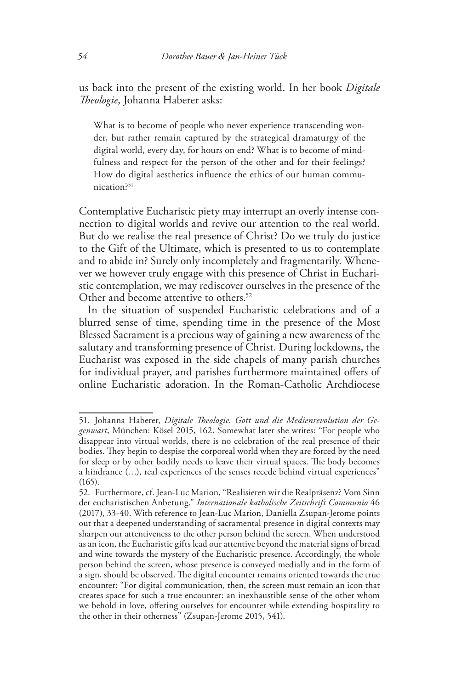us back into the present of the existing world. In her book *Digitale Theologie*, Johanna Haberer asks:

What is to become of people who never experience transcending wonder, but rather remain captured by the strategical dramaturgy of the digital world, every day, for hours on end? What is to become of mindfulness and respect for the person of the other and for their feelings? How do digital aesthetics influence the ethics of our human communication?51

Contemplative Eucharistic piety may interrupt an overly intense connection to digital worlds and revive our attention to the real world. But do we realise the real presence of Christ? Do we truly do justice to the Gift of the Ultimate, which is presented to us to contemplate and to abide in? Surely only incompletely and fragmentarily. Whenever we however truly engage with this presence of Christ in Eucharistic contemplation, we may rediscover ourselves in the presence of the Other and become attentive to others.<sup>52</sup>

In the situation of suspended Eucharistic celebrations and of a blurred sense of time, spending time in the presence of the Most Blessed Sacrament is a precious way of gaining a new awareness of the salutary and transforming presence of Christ. During lockdowns, the Eucharist was exposed in the side chapels of many parish churches for individual prayer, and parishes furthermore maintained offers of online Eucharistic adoration. In the Roman-Catholic Archdiocese

<sup>51.</sup> Johanna Haberer, *Digitale Theologie. Gott und die Medienrevolution der Gegenwart*, München: Kösel 2015, 162. Somewhat later she writes: "For people who disappear into virtual worlds, there is no celebration of the real presence of their bodies. They begin to despise the corporeal world when they are forced by the need for sleep or by other bodily needs to leave their virtual spaces. The body becomes a hindrance (…), real experiences of the senses recede behind virtual experiences" (165).

<sup>52.</sup> Furthermore, cf. Jean-Luc Marion, "Realisieren wir die Realpräsenz? Vom Sinn der eucharistischen Anbetung." *Internationale katholische Zeitschrift Communio* 46 (2017), 33-40. With reference to Jean-Luc Marion, Daniella Zsupan-Jerome points out that a deepened understanding of sacramental presence in digital contexts may sharpen our attentiveness to the other person behind the screen. When understood as an icon, the Eucharistic gifts lead our attentive beyond the material signs of bread and wine towards the mystery of the Eucharistic presence. Accordingly, the whole person behind the screen, whose presence is conveyed medially and in the form of a sign, should be observed. The digital encounter remains oriented towards the true encounter: "For digital communication, then, the screen must remain an icon that creates space for such a true encounter: an inexhaustible sense of the other whom we behold in love, offering ourselves for encounter while extending hospitality to the other in their otherness" (Zsupan-Jerome 2015, 541).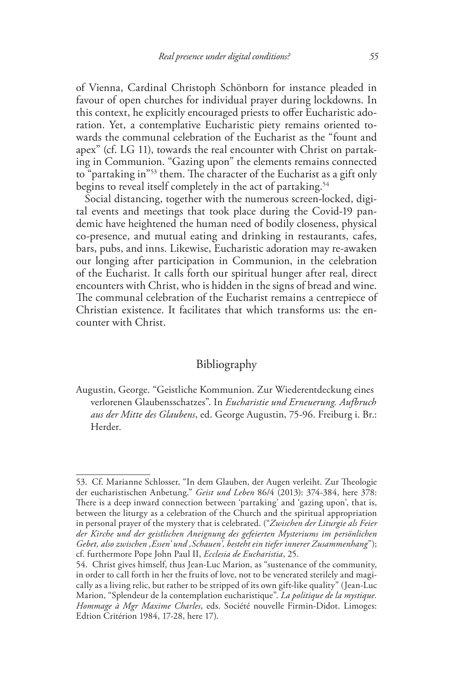of Vienna, Cardinal Christoph Schönborn for instance pleaded in favour of open churches for individual prayer during lockdowns. In this context, he explicitly encouraged priests to offer Eucharistic adoration. Yet, a contemplative Eucharistic piety remains oriented towards the communal celebration of the Eucharist as the "fount and apex" (cf. LG 11), towards the real encounter with Christ on partaking in Communion. "Gazing upon" the elements remains connected to "partaking in"53 them. The character of the Eucharist as a gift only begins to reveal itself completely in the act of partaking.<sup>54</sup>

Social distancing, together with the numerous screen-locked, digital events and meetings that took place during the Covid-19 pandemic have heightened the human need of bodily closeness, physical co-presence, and mutual eating and drinking in restaurants, cafes, bars, pubs, and inns. Likewise, Eucharistic adoration may re-awaken our longing after participation in Communion, in the celebration of the Eucharist. It calls forth our spiritual hunger after real, direct encounters with Christ, who is hidden in the signs of bread and wine. The communal celebration of the Eucharist remains a centrepiece of Christian existence. It facilitates that which transforms us: the encounter with Christ.

# Bibliography

Augustin, George. "Geistliche Kommunion. Zur Wiederentdeckung eines verlorenen Glaubensschatzes". In *Eucharistie und Erneuerung. Aufbruch aus der Mitte des Glaubens*, ed. George Augustin, 75-96. Freiburg i. Br.: Herder.

<sup>53.</sup> Cf. Marianne Schlosser, "In dem Glauben, der Augen verleiht. Zur Theologie der eucharistischen Anbetung." *Geist und Leben* 86/4 (2013): 374-384, here 378: There is a deep inward connection between 'partaking' and 'gazing upon', that is, between the liturgy as a celebration of the Church and the spiritual appropriation in personal prayer of the mystery that is celebrated. ("*Zwischen der Liturgie als Feier der Kirche und der geistlichen Aneignung des gefeierten Mysteriums im persönlichen Gebet, also zwischen ,Essen' und ,Schauen', besteht ein tiefer innerer Zusammenhang*"); cf. furthermore Pope John Paul II, *Ecclesia de Eucharistia*, 25.

<sup>54.</sup> Christ gives himself, thus Jean-Luc Marion, as "sustenance of the community, in order to call forth in her the fruits of love, not to be venerated sterilely and magically as a living relic, but rather to be stripped of its own gift-like quality" (Jean-Luc Marion, "Splendeur de la contemplation eucharistique". *La politique de la mystique. Hommage à Mgr Maxime Charles*, eds. Société nouvelle Firmin-Didot. Limoges: Edtion Critérion 1984, 17-28, here 17).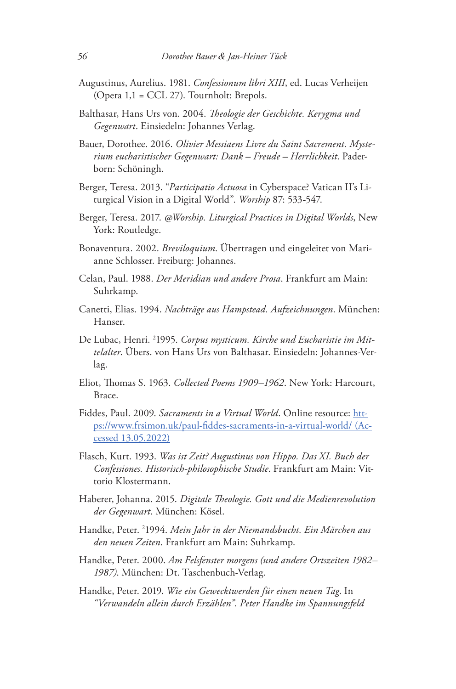- Augustinus, Aurelius. 1981. *Confessionum libri XIII*, ed. Lucas Verheijen (Opera 1,1 = CCL 27). Tournholt: Brepols.
- Balthasar, Hans Urs von. 2004. *Theologie der Geschichte. Kerygma und Gegenwart*. Einsiedeln: Johannes Verlag.
- Bauer, Dorothee. 2016. *Olivier Messiaens Livre du Saint Sacrement. Mysterium eucharistischer Gegenwart: Dank – Freude – Herrlichkeit*. Paderborn: Schöningh.
- Berger, Teresa. 2013. "*Participatio Actuosa* in Cyberspace? Vatican II's Liturgical Vision in a Digital World". *Worship* 87: 533-547.
- Berger, Teresa. 2017. *@Worship. Liturgical Practices in Digital Worlds*, New York: Routledge.
- Bonaventura. 2002. *Breviloquium*. Übertragen und eingeleitet von Marianne Schlosser. Freiburg: Johannes.
- Celan, Paul. 1988. *Der Meridian und andere Prosa*. Frankfurt am Main: Suhrkamp.
- Canetti, Elias. 1994. *Nachträge aus Hampstead. Aufzeichnungen*. München: Hanser.
- De Lubac, Henri. 2 1995. *Corpus mysticum. Kirche und Eucharistie im Mittelalter*. Übers. von Hans Urs von Balthasar. Einsiedeln: Johannes-Verlag.
- Eliot, Thomas S. 1963. *Collected Poems 1909–1962*. New York: Harcourt, Brace.
- Fiddes, Paul. 2009. *Sacraments in a Virtual World*. Online resource: https://www.frsimon.uk/paul-fiddes-sacraments-in-a-virtual-world/ (Accessed 13.05.2022)
- Flasch, Kurt. 1993. *Was ist Zeit? Augustinus von Hippo. Das XI. Buch der Confessiones. Historisch-philosophische Studie*. Frankfurt am Main: Vittorio Klostermann.
- Haberer, Johanna. 2015. *Digitale Theologie. Gott und die Medienrevolution der Gegenwart*. München: Kösel.
- Handke, Peter. 2 1994. *Mein Jahr in der Niemandsbucht. Ein Märchen aus den neuen Zeiten*. Frankfurt am Main: Suhrkamp.
- Handke, Peter. 2000. *Am Felsfenster morgens (und andere Ortszeiten 1982– 1987)*. München: Dt. Taschenbuch-Verlag.
- Handke, Peter. 2019. *Wie ein Gewecktwerden für einen neuen Tag*. In *"Verwandeln allein durch Erzählen". Peter Handke im Spannungsfeld*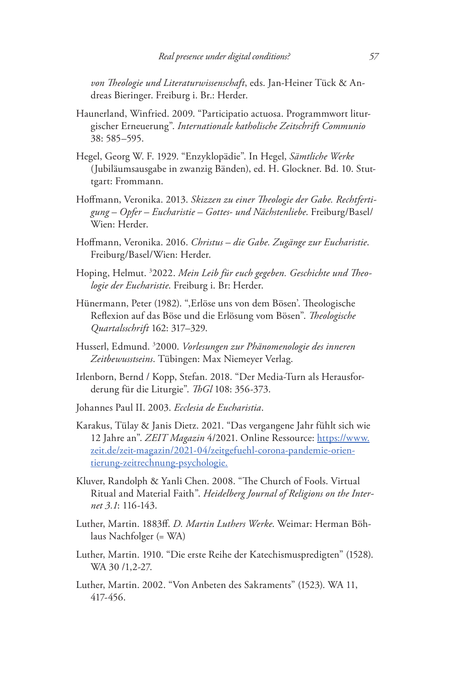*von Theologie und Literaturwissenschaft*, eds. Jan-Heiner Tück & Andreas Bieringer. Freiburg i. Br.: Herder.

- Haunerland, Winfried. 2009. "Participatio actuosa. Programmwort liturgischer Erneuerung". *Internationale katholische Zeitschrift Communio* 38: 585–595.
- Hegel, Georg W. F. 1929. "Enzyklopädie". In Hegel, *Sämtliche Werke* (Jubiläumsausgabe in zwanzig Bänden), ed. H. Glockner. Bd. 10. Stuttgart: Frommann.
- Hoffmann, Veronika. 2013. *Skizzen zu einer Theologie der Gabe. Rechtfertigung – Opfer – Eucharistie – Gottes- und Nächstenliebe*. Freiburg/Basel/ Wien: Herder.
- Hoffmann, Veronika. 2016. *Christus die Gabe. Zugänge zur Eucharistie*. Freiburg/Basel/Wien: Herder.
- Hoping, Helmut. <sup>3</sup>2022. Mein Leib für euch gegeben. Geschichte und Theo*logie der Eucharistie*. Freiburg i. Br: Herder.
- Hünermann, Peter (1982). ",Erlöse uns von dem Bösen'. Theologische Reflexion auf das Böse und die Erlösung vom Bösen". *Theologische Quartalsschrift* 162: 317–329.
- Husserl, Edmund. 3 2000. *Vorlesungen zur Phänomenologie des inneren Zeitbewusstseins*. Tübingen: Max Niemeyer Verlag.
- Irlenborn, Bernd / Kopp, Stefan. 2018. "Der Media-Turn als Herausforderung für die Liturgie". *ThGl* 108: 356-373.
- Johannes Paul II. 2003. *Ecclesia de Eucharistia*.
- Karakus, Tülay & Janis Dietz. 2021. "Das vergangene Jahr fühlt sich wie 12 Jahre an". *ZEIT Magazin* 4/2021. Online Ressource: https://www. zeit.de/zeit-magazin/2021-04/zeitgefuehl-corona-pandemie-orientierung-zeitrechnung-psychologie.
- Kluver, Randolph & Yanli Chen. 2008. "The Church of Fools. Virtual Ritual and Material Faith". *Heidelberg Journal of Religions on the Internet 3.1*: 116-143.
- Luther, Martin. 1883ff. *D. Martin Luthers Werke*. Weimar: Herman Böhlaus Nachfolger (= WA)
- Luther, Martin. 1910. "Die erste Reihe der Katechismuspredigten" (1528). WA 30 /1,2-27.
- Luther, Martin. 2002. "Von Anbeten des Sakraments" (1523). WA 11, 417-456.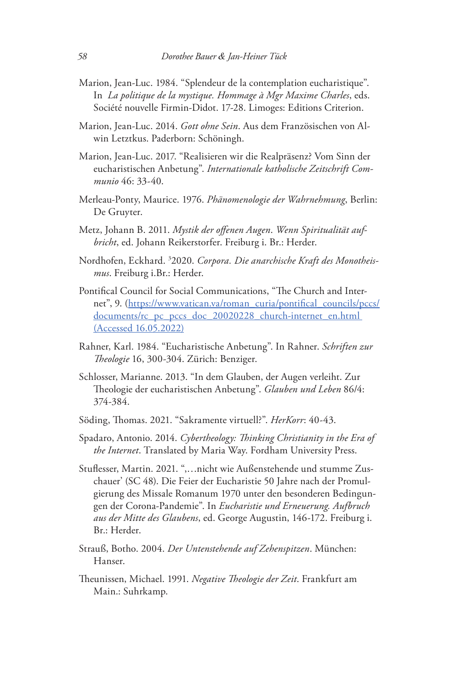- Marion, Jean-Luc. 1984. "Splendeur de la contemplation eucharistique". In *La politique de la mystique. Hommage à Mgr Maxime Charles*, eds. Société nouvelle Firmin-Didot. 17-28. Limoges: Editions Criterion.
- Marion, Jean-Luc. 2014. *Gott ohne Sein*. Aus dem Französischen von Alwin Letztkus. Paderborn: Schöningh.
- Marion, Jean-Luc. 2017. "Realisieren wir die Realpräsenz? Vom Sinn der eucharistischen Anbetung". *Internationale katholische Zeitschrift Communio* 46: 33-40.
- Merleau-Ponty, Maurice. 1976. *Phänomenologie der Wahrnehmung*, Berlin: De Gruyter.
- Metz, Johann B. 2011. *Mystik der offenen Augen*. *Wenn Spiritualität aufbricht*, ed. Johann Reikerstorfer. Freiburg i. Br.: Herder.
- Nordhofen, Eckhard. 3 2020. *Corpora. Die anarchische Kraft des Monotheismus*. Freiburg i.Br.: Herder.
- Pontifical Council for Social Communications, "The Church and Internet", 9. (https://www.vatican.va/roman\_curia/pontifical\_councils/pccs/ documents/rc\_pc\_pccs\_doc\_20020228\_church-internet\_en.html (Accessed 16.05.2022)
- Rahner, Karl. 1984. "Eucharistische Anbetung". In Rahner. *Schriften zur Theologie* 16, 300-304. Zürich: Benziger.
- Schlosser, Marianne. 2013. "In dem Glauben, der Augen verleiht. Zur Theologie der eucharistischen Anbetung". *Glauben und Leben* 86/4: 374-384.
- Söding, Thomas. 2021. "Sakramente virtuell?". *HerKorr*: 40-43.
- Spadaro, Antonio. 2014. *Cybertheology: Thinking Christianity in the Era of the Internet*. Translated by Maria Way. Fordham University Press.
- Stuflesser, Martin. 2021. ",…nicht wie Außenstehende und stumme Zuschauer' (SC 48). Die Feier der Eucharistie 50 Jahre nach der Promulgierung des Missale Romanum 1970 unter den besonderen Bedingungen der Corona-Pandemie". In *Eucharistie und Erneuerung. Aufbruch aus der Mitte des Glaubens*, ed. George Augustin, 146-172. Freiburg i. Br.: Herder.
- Strauß, Botho. 2004. *Der Untenstehende auf Zehenspitzen*. München: Hanser.
- Theunissen, Michael. 1991. *Negative Theologie der Zeit*. Frankfurt am Main.: Suhrkamp.